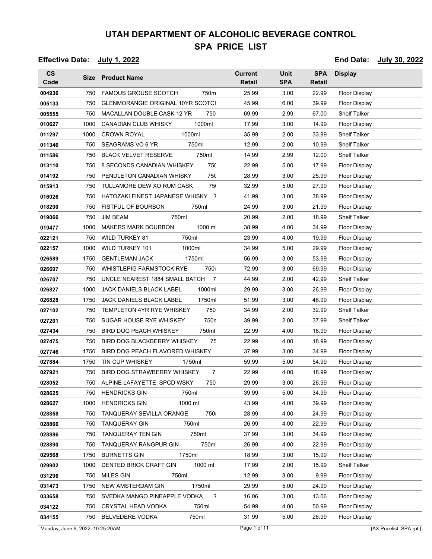#### **Effective Date: July 1, 2022 End Date: July 30, 2022**

| $\mathsf{cs}$<br>Code |      | Size Product Name                                 | <b>Current</b><br><b>Retail</b> | <b>Unit</b><br><b>SPA</b> | <b>SPA</b><br>Retail | <b>Display</b>       |
|-----------------------|------|---------------------------------------------------|---------------------------------|---------------------------|----------------------|----------------------|
| 004936                | 750  | <b>FAMOUS GROUSE SCOTCH</b><br>750m               | 25.99                           | 3.00                      | 22.99                | Floor Display        |
| 005133                | 750  | <b>GLENMORANGIE ORIGINAL 10YR SCOTCI</b>          | 45.99                           | 6.00                      | 39.99                | Floor Display        |
| 005555                | 750  | MACALLAN DOUBLE CASK 12 YR<br>750                 | 69.99                           | 2.99                      | 67.00                | <b>Shelf Talker</b>  |
| 010627                | 1000 | 1000ml<br><b>CANADIAN CLUB WHISKY</b>             | 17.99                           | 3.00                      | 14.99                | <b>Floor Display</b> |
| 011297                | 1000 | <b>CROWN ROYAL</b><br>1000ml                      | 35.99                           | 2.00                      | 33.99                | <b>Shelf Talker</b>  |
| 011346                | 750  | SEAGRAMS VO 6 YR<br>750ml                         | 12.99                           | 2.00                      | 10.99                | <b>Shelf Talker</b>  |
| 011586                | 750  | <b>BLACK VELVET RESERVE</b><br>750ml              | 14.99                           | 2.99                      | 12.00                | <b>Shelf Talker</b>  |
| 013110                | 750  | 8 SECONDS CANADIAN WHISKEY<br>750                 | 22.99                           | 5.00                      | 17.99                | <b>Floor Display</b> |
| 014192                | 750  | PENDLETON CANADIAN WHISKY<br>750                  | 28.99                           | 3.00                      | 25.99                | Floor Display        |
| 015913                | 750  | TULLAMORE DEW XO RUM CASK<br>75                   | 32.99                           | 5.00                      | 27.99                | Floor Display        |
| 016026                | 750  | HATOZAKI FINEST JAPANESE WHISKY<br>$\overline{7}$ | 41.99                           | 3.00                      | 38.99                | <b>Floor Display</b> |
| 018290                | 750  | 750ml<br><b>FISTFUL OF BOURBON</b>                | 24.99                           | 3.00                      | 21.99                | <b>Floor Display</b> |
| 019066                | 750  | <b>JIM BEAM</b><br>750ml                          | 20.99                           | 2.00                      | 18.99                | <b>Shelf Talker</b>  |
| 019477                | 1000 | <b>MAKERS MARK BOURBON</b><br>1000 m              | 38.99                           | 4.00                      | 34.99                | Floor Display        |
| 022121                | 750  | <b>WILD TURKEY 81</b><br>750ml                    | 23.99                           | 4.00                      | 19.99                | <b>Floor Display</b> |
| 022157                | 1000 | <b>WILD TURKEY 101</b><br>1000ml                  | 34.99                           | 5.00                      | 29.99                | Floor Display        |
| 026589                | 1750 | <b>GENTLEMAN JACK</b><br>1750ml                   | 56.99                           | 3.00                      | 53.99                | Floor Display        |
| 026697                | 750  | <b>WHISTLEPIG FARMSTOCK RYE</b><br>750r           | 72.99                           | 3.00                      | 69.99                | Floor Display        |
| 026707                | 750  | UNCLE NEAREST 1884 SMALL BATCH<br>$\overline{7}$  | 44.99                           | 2.00                      | 42.99                | <b>Shelf Talker</b>  |
| 026827                | 1000 | <b>JACK DANIELS BLACK LABEL</b><br>1000ml         | 29.99                           | 3.00                      | 26.99                | Floor Display        |
| 026828                | 1750 | <b>JACK DANIELS BLACK LABEL</b><br>1750ml         | 51.99                           | 3.00                      | 48.99                | Floor Display        |
| 027102                | 750  | <b>TEMPLETON 4YR RYE WHISKEY</b><br>750           | 34.99                           | 2.00                      | 32.99                | <b>Shelf Talker</b>  |
| 027201                | 750  | SUGAR HOUSE RYE WHISKEY<br>750n                   | 39.99                           | 2.00                      | 37.99                | Shelf Talker         |
| 027434                | 750  | <b>BIRD DOG PEACH WHISKEY</b><br>750ml            | 22.99                           | 4.00                      | 18.99                | Floor Display        |
| 027475                | 750  | 75<br><b>BIRD DOG BLACKBERRY WHISKEY</b>          | 22.99                           | 4.00                      | 18.99                | Floor Display        |
| 027746                | 1750 | BIRD DOG PEACH FLAVORED WHISKEY                   | 37.99                           | 3.00                      | 34.99                | Floor Display        |
| 027884                | 1750 | TIN CUP WHISKEY<br>1750ml                         | 59.99                           | 5.00                      | 54.99                | Floor Display        |
| 027921                | 750  | BIRD DOG STRAWBERRY WHISKEY<br>7 <sup>1</sup>     | 22.99                           | 4.00                      | 18.99                | Floor Display        |
| 028052                | 750  | ALPINE LAFAYETTE SPCD WSKY<br>750                 | 29.99                           | 3.00                      | 26.99                | <b>Floor Display</b> |
| 028625                | 750  | <b>HENDRICKS GIN</b><br>750ml                     | 39.99                           | 5.00                      | 34.99                | Floor Display        |
| 028627                | 1000 | 1000 ml<br><b>HENDRICKS GIN</b>                   | 43.99                           | 4.00                      | 39.99                | <b>Floor Display</b> |
| 028858                | 750  | TANQUERAY SEVILLA ORANGE<br>750                   | 28.99                           | 4.00                      | 24.99                | Floor Display        |
| 028866                | 750  | <b>TANQUERAY GIN</b><br>750ml                     | 26.99                           | 4.00                      | 22.99                | <b>Floor Display</b> |
| 028886                | 750  | <b>TANQUERAY TEN GIN</b><br>750ml                 | 37.99                           | 3.00                      | 34.99                | Floor Display        |
| 028890                | 750  | 750m<br>TANQUERAY RANGPUR GIN                     | 26.99                           | 4.00                      | 22.99                | Floor Display        |
| 029568                | 1750 | 1750ml<br><b>BURNETTS GIN</b>                     | 18.99                           | 3.00                      | 15.99                | <b>Floor Display</b> |
| 029902                | 1000 | 1000 ml<br>DENTED BRICK CRAFT GIN                 | 17.99                           | 2.00                      | 15.99                | <b>Shelf Talker</b>  |
| 031296                | 750  | <b>MILES GIN</b><br>750ml                         | 12.99                           | 3.00                      | 9.99                 | <b>Floor Display</b> |
| 031473                | 1750 | 1750ml<br>NEW AMSTERDAM GIN                       | 29.99                           | 5.00                      | 24.99                | Floor Display        |
| 033658                | 750  | SVEDKA MANGO PINEAPPLE VODKA<br>$\overline{1}$    | 16.06                           | 3.00                      | 13.06                | <b>Floor Display</b> |
| 034122                | 750  | 750ml<br><b>CRYSTAL HEAD VODKA</b>                | 54.99                           | 4.00                      | 50.99                | Floor Display        |
| 034155                | 750  | BELVEDERE VODKA<br>750ml                          | 31.99                           | 5.00                      | 26.99                | <b>Floor Display</b> |

Monday, June 6, 2022 10:25:20AM Page 1 of 11 [AX Pricelist\_SPA.rpt ]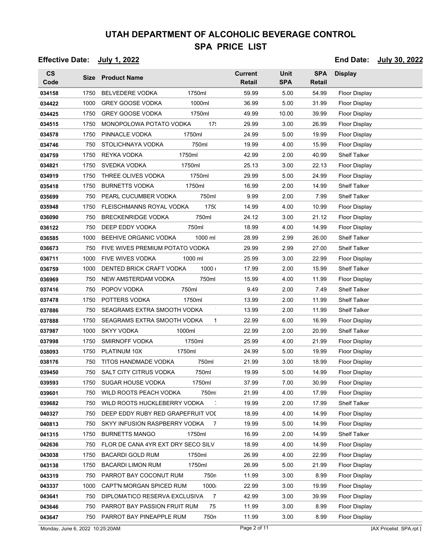**Effective Date: July 1, 2022 End Date: July 30, 2022**

#### **CS Code Size Product Name Current Retail SPA Retail** Unit **SPA** Display **SPA** 034158 1750 BELVEDERE VODKA 1750ml 59.99 5.00 54.99 Floor Display 034422 1000 GREY GOOSE VODKA 1000ml 36.99 5.00 31.99 Floor Display **034425** 1750 GREY GOOSE VODKA 1750ml 49.99 10.00 39.99 Floor Display 034515 1750 MONOPOLOWA POTATO VODKA 17: 29.99 3.00 26.99 Floor Display **034578** 1750 PINNACLE VODKA 1750ml 24.99 5.00 19.99 Floor Display **034746** 750 STOLICHNAYA VODKA 750ml 19.99 4.00 15.99 Floor Display **034759** 1750 REYKA VODKA 1750ml 42.99 2.00 40.99 Shelf Talker **034821** 1750 SVEDKA VODKA 1750ml 25.13 3.00 22.13 Floor Display **034919** 1750 THREE OLIVES VODKA 1750ml 29.99 5.00 24.99 Floor Display **035418** 1750 BURNETTS VODKA 1750ml 16.99 2.00 14.99 Shelf Talker **035699** 750 PEARL CUCUMBER VODKA 750ml 9.99 2.00 7.99 Shelf Talker 035948 1750 FLEISCHMANNS ROYAL VODKA 1750 14.99 4.00 10.99 Floor Display **036090** 750 BRECKENRIDGE VODKA 750ml 24.12 3.00 21.12 Floor Display **036122** 750 DEEP EDDY VODKA 750ml 18.99 4.00 14.99 Floor Display **036585** 1000 BEEHIVE ORGANIC VODKA 1000 ml 28.99 2.99 26.00 Shelf Talker 036673 750 FIVE WIVES PREMIUM POTATO VODKA 29.99 2.99 27.00 Shelf Talker 036711 1000 FIVE WIVES VODKA 1000 ml 25.99 3.00 22.99 Floor Display **036759** 1000 DENTED BRICK CRAFT VODKA 1000 i 17.99 2.00 15.99 Shelf Talker **036969** 750 NEW AMSTERDAM VODKA 750ml 15.99 4.00 11.99 Floor Display **037416** 750 POPOV VODKA 750ml 9.49 2.00 7.49 Shelf Talker **037478** 1750 POTTERS VODKA 1750ml 13.99 2.00 11.99 Shelf Talker **037886** 750 SEAGRAMS EXTRA SMOOTH VODKA 713.99 2.00 11.99 Shelf Talker **037888** 1750 SEAGRAMS EXTRA SMOOTH VODKA 1 22.99 6.00 16.99 Floor Display **037987** 1000 SKYY VODKA 1000ml 22.99 2.00 20.99 Shelf Talker **037998** 1750 SMIRNOFF VODKA 1750ml 25.99 4.00 21.99 Floor Display **038093** 1750 PLATINUM 10X 1750ml 24.99 5.00 19.99 Floor Display **038176** 750 TITOS HANDMADE VODKA 750ml 21.99 3.00 18.99 Floor Display **039450** 750 SALT CITY CITRUS VODKA 750ml 19.99 5.00 14.99 Floor Display **039593** 1750 SUGAR HOUSE VODKA 1750ml 37.99 7.00 30.99 Floor Display **039601** 750 WILD ROOTS PEACH VODKA 750ml 21.99 4.00 17.99 Floor Display **039682** 750 WILD ROOTS HUCKLEBERRY VODKA 7 19.99 2.00 17.99 Shelf Talker 040327 750 DEEP EDDY RUBY RED GRAPEFRUIT VOL **750 18.99** 4.00 14.99 Floor Display 040813 750 SKYY INFUSION RASPBERRY VODKA 7 19.99 5.00 14.99 Floor Display **041315** 1750 BURNETTS MANGO 1750ml 16.99 2.00 14.99 Shelf Talker 042636 750 FLOR DE CANA 4YR EXT DRY SECO SILV 18.99 4.00 14.99 Floor Display **043038** 1750 BACARDI GOLD RUM 1750ml 26.99 4.00 22.99 Floor Display **043138** 1750 BACARDI LIMON RUM 1750ml 26.99 5.00 21.99 Floor Display 043319 750 PARROT BAY COCONUT RUM 750n 11.99 3.00 8.99 Floor Display 043337 1000 CAPT'N MORGAN SPICED RUM 1000 22.99 3.00 19.99 Floor Display 043641 750 DIPLOMATICO RESERVA EXCLUSIVA 7 42.99 3.00 39.99 Floor Display

**043646** 750 PARROT BAY PASSION FRUIT RUM 75 11.99 3.00 8.99 Floor Display 043647 750 PARROT BAY PINEAPPLE RUM 750n 11.99 3.00 8.99 Floor Display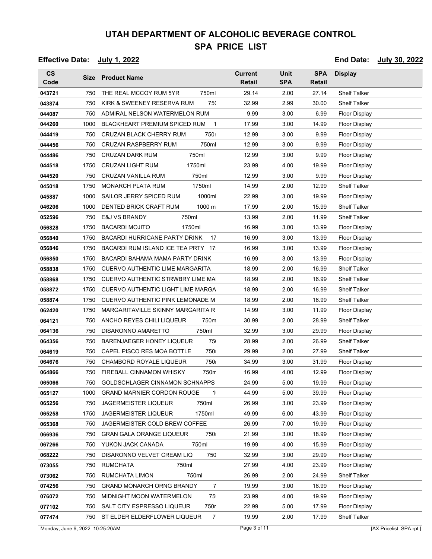**Effective Date: July 1, 2022 End Date: July 30, 2022**

**CS Code Size Product Name Current Retail SPA Retail** Unit **SPA** Display **SPA 043721** 750 THE REAL MCCOY RUM 5YR 750ml 29.14 2.00 27.14 Shelf Talker 043874 750 KIRK & SWEENEY RESERVA RUM 750 32.99 2.99 30.00 Shelf Talker **044087** 750 ADMIRAL NELSON WATERMELON RUM 89.99 3.00 6.99 Floor Display 044260 1000 BLACKHEART PREMIUM SPICED RUM 1 17.99 3.00 14.99 Floor Display **044419** 750 CRUZAN BLACK CHERRY RUM 750r 12.99 3.00 9.99 Floor Display **044456** 750 CRUZAN RASPBERRY RUM 750ml 12.99 3.00 9.99 Floor Display **044486** 750 CRUZAN DARK RUM 750ml 12.99 3.00 9.99 Floor Display **044518** 1750 CRUZAN LIGHT RUM 1750ml 23.99 4.00 19.99 Floor Display **044520** 750 CRUZAN VANILLA RUM 750ml 12.99 3.00 9.99 Floor Display **045018** 1750 MONARCH PLATA RUM 1750ml 14.99 2.00 12.99 Shelf Talker **045887** 1000 SAILOR JERRY SPICED RUM 1000ml 22.99 3.00 19.99 Floor Display 046206 1000 DENTED BRICK CRAFT RUM 1000 m 17.99 2.00 15.99 Shelf Talker **052596** 750 E&J VS BRANDY 750ml 13.99 2.00 11.99 Shelf Talker **056828** 1750 BACARDI MOJITO 1750ml 16.99 3.00 13.99 Floor Display 056840 1750 BACARDI HURRICANE PARTY DRINK 17 16.99 3.00 13.99 Floor Display **056846** 1750 BACARDI RUM ISLAND ICE TEA PRTY 17 16.99 3.00 13.99 Floor Display 056850 1750 BACARDI BAHAMA MAMA PARTY DRINK 16.99 3.00 13.99 Floor Display 058838 1750 CUERVO AUTHENTIC LIME MARGARITA 18.99 2.00 16.99 Shelf Talker 058868 1750 CUERVO AUTHENTIC STRWBRY LIME MA 18.99 2.00 16.99 Shelf Talker 058872 1750 CUERVO AUTHENTIC LIGHT LIME MARGA 18.99 2.00 16.99 Shelf Talker 058874 1750 CUERVO AUTHENTIC PINK LEMONADE M 18.99 2.00 16.99 Shelf Talker **062420** 1750 MARGARITAVILLE SKINNY MARGARITA R 14.99 3.00 11.99 Floor Display **064121** 750 ANCHO REYES CHILI LIQUEUR 750ml 30.99 2.00 28.99 Shelf Talker **064136** 750 DISARONNO AMARETTO 750ml 32.99 3.00 29.99 Floor Display **064356** 750 BARENJAEGER HONEY LIQUEUR 750 28.99 2.00 26.99 Shelf Talker **064619** 750 CAPEL PISCO RES MOA BOTTLE 750ml 29.99 2.00 27.99 Shelf Talker **064676** 750 CHAMBORD ROYALE LIQUEUR 750 34.99 3.00 31.99 Floor Display 064866 750 FIREBALL CINNAMON WHISKY 750m 16.99 4.00 12.99 Floor Display 065066 750 GOLDSCHLAGER CINNAMON SCHNAPPS 24.99 5.00 19.99 Floor Display **065127** 1000 GRAND MARNIER CORDON ROUGE 1 44.99 5.00 39.99 Floor Display **065256** 750 JAGERMEISTER LIQUEUR 750ml 26.99 3.00 23.99 Floor Display **065258** 1750 JAGERMEISTER LIQUEUR 1750ml 49.99 6.00 43.99 Floor Display 065368 750 JAGERMEISTER COLD BREW COFFEE 26.99 7.00 19.99 Floor Display 066936 750 GRAN GALA ORANGE LIQUEUR 750ml 21.99 3.00 18.99 Floor Display **067266** 750 YUKON JACK CANADA 750ml 19.99 4.00 15.99 Floor Display **068222** 750 DISARONNO VELVET CREAM LIQ 750ml 32.99 3.00 29.99 Floor Display **073055** 750 RUMCHATA 750ml 27.99 4.00 23.99 Floor Display **073062** 750 RUMCHATA LIMON 750ml 26.99 2.00 24.99 Shelf Talker **074256** 750 GRAND MONARCH ORNG BRANDY 7 19.99 3.00 16.99 Floor Display **076072** 750 MIDNIGHT MOON WATERMELON 75 23.99 4.00 19.99 Floor Display **077102** 750 SALT CITY ESPRESSO LIQUEUR 750r 22.99 5.00 17.99 Floor Display **077474** 750 ST ELDER ELDERFLOWER LIQUEUR 7 19.99 2.00 17.99 Shelf Talker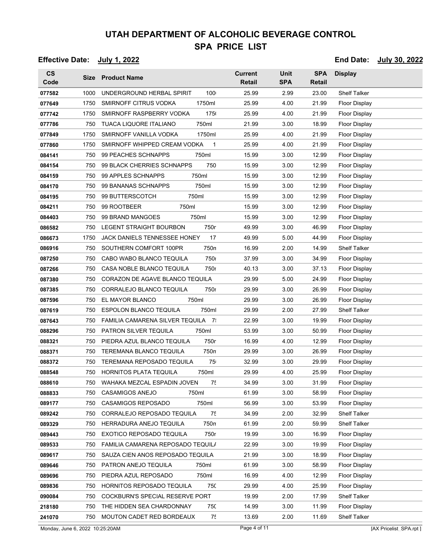| <b>Effective Date:</b> | July 1, 2022 |  |
|------------------------|--------------|--|
|------------------------|--------------|--|

**End Date:** July 30, 2022

| $\mathsf{CS}\phantom{0}$<br>Code |      | Size Product Name                           | <b>Current</b><br><b>Retail</b> | <b>Unit</b><br><b>SPA</b> | <b>SPA</b><br><b>Retail</b> | <b>Display</b>       |
|----------------------------------|------|---------------------------------------------|---------------------------------|---------------------------|-----------------------------|----------------------|
| 077582                           | 1000 | UNDERGROUND HERBAL SPIRIT<br>100            | 25.99                           | 2.99                      | 23.00                       | <b>Shelf Talker</b>  |
| 077649                           | 1750 | SMIRNOFF CITRUS VODKA<br>1750ml             | 25.99                           | 4.00                      | 21.99                       | <b>Floor Display</b> |
| 077742                           | 1750 | SMIRNOFF RASPBERRY VODKA<br>175             | 25.99                           | 4.00                      | 21.99                       | Floor Display        |
| 077786                           | 750  | 750ml<br>TUACA LIQUORE ITALIANO             | 21.99                           | 3.00                      | 18.99                       | Floor Display        |
| 077849                           | 1750 | 1750ml<br>SMIRNOFF VANILLA VODKA            | 25.99                           | 4.00                      | 21.99                       | <b>Floor Display</b> |
| 077860                           | 1750 | SMIRNOFF WHIPPED CREAM VODKA<br>$\mathbf 1$ | 25.99                           | 4.00                      | 21.99                       | <b>Floor Display</b> |
| 084141                           | 750  | 99 PEACHES SCHNAPPS<br>750ml                | 15.99                           | 3.00                      | 12.99                       | Floor Display        |
| 084154                           | 750  | 99 BLACK CHERRIES SCHNAPPS<br>750           | 15.99                           | 3.00                      | 12.99                       | Floor Display        |
| 084159                           | 750  | 99 APPLES SCHNAPPS<br>750ml                 | 15.99                           | 3.00                      | 12.99                       | Floor Display        |
| 084170                           | 750  | 99 BANANAS SCHNAPPS<br>750ml                | 15.99                           | 3.00                      | 12.99                       | Floor Display        |
| 084195                           | 750  | 99 BUTTERSCOTCH<br>750ml                    | 15.99                           | 3.00                      | 12.99                       | <b>Floor Display</b> |
| 084211                           | 750  | 99 ROOTBEER<br>750ml                        | 15.99                           | 3.00                      | 12.99                       | Floor Display        |
| 084403                           | 750  | 99 BRAND MANGOES<br>750ml                   | 15.99                           | 3.00                      | 12.99                       | <b>Floor Display</b> |
| 086582                           | 750  | 750r<br>LEGENT STRAIGHT BOURBON             | 49.99                           | 3.00                      | 46.99                       | <b>Floor Display</b> |
| 086673                           | 1750 | JACK DANIELS TENNESSEE HONEY<br>17          | 49.99                           | 5.00                      | 44.99                       | Floor Display        |
| 086916                           | 750  | SOUTHERN COMFORT 100PR<br>750n              | 16.99                           | 2.00                      | 14.99                       | <b>Shelf Talker</b>  |
| 087250                           | 750  | CABO WABO BLANCO TEQUILA<br><b>750</b>      | 37.99                           | 3.00                      | 34.99                       | Floor Display        |
| 087266                           | 750  | CASA NOBLE BLANCO TEQUILA<br>750r           | 40.13                           | 3.00                      | 37.13                       | <b>Floor Display</b> |
| 087380                           | 750  | CORAZON DE AGAVE BLANCO TEQUILA             | 29.99                           | 5.00                      | 24.99                       | <b>Floor Display</b> |
| 087385                           | 750  | CORRALEJO BLANCO TEQUILA<br>750r            | 29.99                           | 3.00                      | 26.99                       | Floor Display        |
| 087596                           | 750  | EL MAYOR BLANCO<br>750ml                    | 29.99                           | 3.00                      | 26.99                       | Floor Display        |
| 087619                           | 750  | <b>ESPOLON BLANCO TEQUILA</b><br>750ml      | 29.99                           | 2.00                      | 27.99                       | <b>Shelf Talker</b>  |
| 087643                           | 750  | FAMILIA CAMARENA SILVER TEQUILA 7:          | 22.99                           | 3.00                      | 19.99                       | Floor Display        |
| 088296                           | 750  | PATRON SILVER TEQUILA<br>750ml              | 53.99                           | 3.00                      | 50.99                       | Floor Display        |
| 088321                           | 750  | PIEDRA AZUL BLANCO TEQUILA<br>750r          | 16.99                           | 4.00                      | 12.99                       | Floor Display        |
| 088371                           | 750  | 750n<br>TEREMANA BLANCO TEQUILA             | 29.99                           | 3.00                      | 26.99                       | <b>Floor Display</b> |
| 088372                           | 750  | TEREMANA REPOSADO TEQUILA<br>75             | 32.99                           | 3.00                      | 29.99                       | <b>Floor Display</b> |
| 088548                           | 750  | <b>HORNITOS PLATA TEQUILA</b><br>750ml      | 29.99                           | 4.00                      | 25.99                       | Floor Display        |
| 088610                           | 750  | WAHAKA MEZCAL ESPADIN JOVEN<br>75           | 34.99                           | 3.00                      | 31.99                       | Floor Display        |
| 088833                           | 750  | <b>CASAMIGOS ANEJO</b><br>750ml             | 61.99                           | 3.00                      | 58.99                       | Floor Display        |
| 089177                           | 750  | <b>CASAMIGOS REPOSADO</b><br>750ml          | 56.99                           | 3.00                      | 53.99                       | <b>Floor Display</b> |
| 089242                           | 750  | 75<br>CORRALEJO REPOSADO TEQUILA            | 34.99                           | 2.00                      | 32.99                       | <b>Shelf Talker</b>  |
| 089329                           | 750  | 750n<br>HERRADURA ANEJO TEQUILA             | 61.99                           | 2.00                      | 59.99                       | <b>Shelf Talker</b>  |
| 089443                           | 750  | 750r<br>EXOTICO REPOSADO TEQUILA            | 19.99                           | 3.00                      | 16.99                       | <b>Floor Display</b> |
| 089533                           | 750  | FAMILIA CAMARENA REPOSADO TEQUILA           | 22.99                           | 3.00                      | 19.99                       | <b>Floor Display</b> |
| 089617                           | 750  | SAUZA CIEN ANOS REPOSADO TEQUILA            | 21.99                           | 3.00                      | 18.99                       | <b>Floor Display</b> |
| 089646                           | 750  | PATRON ANEJO TEQUILA<br>750ml               | 61.99                           | 3.00                      | 58.99                       | Floor Display        |
| 089696                           | 750  | PIEDRA AZUL REPOSADO<br>750ml               | 16.99                           | 4.00                      | 12.99                       | <b>Floor Display</b> |
| 089836                           | 750  | HORNITOS REPOSADO TEQUILA<br>75C            | 29.99                           | 4.00                      | 25.99                       | Floor Display        |
| 090084                           | 750  | COCKBURN'S SPECIAL RESERVE PORT             | 19.99                           | 2.00                      | 17.99                       | <b>Shelf Talker</b>  |
| 218180                           | 750  | THE HIDDEN SEA CHARDONNAY<br>75C            | 14.99                           | 3.00                      | 11.99                       | Floor Display        |
| 241070                           | 750  | MOUTON CADET RED BORDEAUX<br>75             | 13.69                           | 2.00                      | 11.69                       | <b>Shelf Talker</b>  |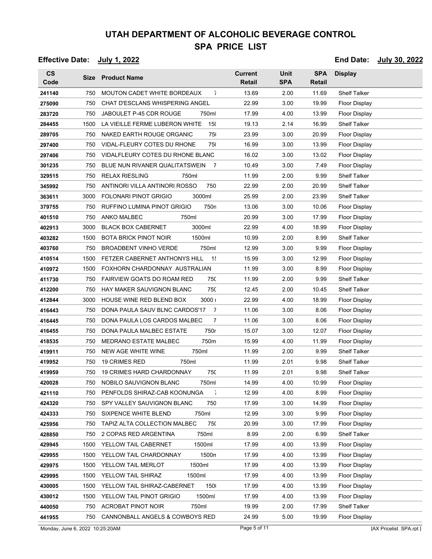**Effective Date: July 1, 2022 End Date: July 30, 2022**

**CS Code Size Product Name Current Retail SPA Retail** Unit **SPA** Display **SPA** 750 MOUTON CADET WHITE BORDEAUX 7 13.69 2.00 11.69 Shelf Talker 750 CHAT D'ESCLANS WHISPERING ANGEL  $22.99$  3.00 19.99 Floor Display 750 JABOULET P-45 CDR ROUGE 750ml 17.99 4.00 13.99 Floor Display 1500 LA VIEILLE FERME LUBERON WHITE 150 19.13 2.14 16.99 Shelf Talker 750 NAKED EARTH ROUGE ORGANIC 750 23.99 3.00 20.99 Floor Display 750 VIDAL-FLEURY COTES DU RHONE 750ml 16.99 3.00 13.99 Floor Display 750 VIDALFLEURY COTES DU RHONE BLANC 16.02 3.00 13.02 Floor Display 750 BLUE NUN RIVANER QUALITATSWEIN 7 10.49 3.00 7.49 Floor Display 750 RELAX RIESLING 750ml 11.99 2.00 9.99 Shelf Talker 750 ANTINORI VILLA ANTINORI ROSSO 750ml 22.99 2.00 20.99 Shelf Talker 3000 FOLONARI PINOT GRIGIO 3000ml 25.99 2.00 23.99 Shelf Talker **379755 750 RUFFINO LUMINA PINOT GRIGIO 750n 13.06 3.00 10.06 Floor Display**  750 ANKO MALBEC 750ml 20.99 3.00 17.99 Floor Display 3000 BLACK BOX CABERNET 3000ml 22.99 4.00 18.99 Floor Display 1500 BOTA BRICK PINOT NOIR 1500ml 10.99 2.00 8.99 Shelf Talker 750 BROADBENT VINHO VERDE 750ml 12.99 3.00 9.99 Floor Display 1500 FETZER CABERNET ANTHONYS HILL 1: 15.99 3.00 12.99 Floor Display 1500 FOXHORN CHARDONNAY AUSTRALIAN 11.99 3.00 8.99 Floor Display 750 FAIRVIEW GOATS DO ROAM RED 750 11.99 2.00 9.99 Shelf Talker 750 HAY MAKER SAUVIGNON BLANC 750 12.45 2.00 10.45 Shelf Talker 3000 HOUSE WINE RED BLEND BOX 3000 i 22.99 4.00 18.99 Floor Display 750 DONA PAULA SAUV BLNC CARDOS'17 7 11.06 3.00 8.06 Floor Display 750 DONA PAULA LOS CARDOS MALBEC 7 11.06 3.00 8.06 Floor Display 750 DONA PAULA MALBEC ESTATE 750ml 15.07 3.00 12.07 Floor Display 750 MEDRANO ESTATE MALBEC 750ml 15.99 4.00 11.99 Floor Display 750 NEW AGE WHITE WINE 750ml 11.99 2.00 9.99 Shelf Talker 750 19 CRIMES RED 750ml 11.99 2.01 9.98 Shelf Talker 750 19 CRIMES HARD CHARDONNAY 750ml 11.99 2.01 9.98 Shelf Talker 750 NOBILO SAUVIGNON BLANC 750ml 14.99 4.00 10.99 Floor Display 750 PENFOLDS SHIRAZ-CAB KOONUNGA 7 12.99 4.00 8.99 Floor Display 750 SPY VALLEY SAUVIGNON BLANC 750ml 17.99 3.00 14.99 Floor Display 750 SIXPENCE WHITE BLEND 750ml 12.99 3.00 9.99 Floor Display 750 TAPIZ ALTA COLLECTION MALBEC 750 20.99 3.00 17.99 Floor Display 750 2 COPAS RED ARGENTINA 750ml 8.99 2.00 6.99 Shelf Talker 1500 YELLOW TAIL CABERNET 1500ml 17.99 4.00 13.99 Floor Display 1500 YELLOW TAIL CHARDONNAY 1500ml 17.99 4.00 13.99 Floor Display 1500 YELLOW TAIL MERLOT 1500ml 17.99 4.00 13.99 Floor Display 1500 YELLOW TAIL SHIRAZ 1500ml 17.99 4.00 13.99 Floor Display 1500 YELLOW TAIL SHIRAZ-CABERNET 1500ml 17.99 4.00 13.99 Floor Display 1500 YELLOW TAIL PINOT GRIGIO 1500ml 17.99 4.00 13.99 Floor Display 750 ACROBAT PINOT NOIR 750ml 19.99 2.00 17.99 Shelf Talker 750 CANNONBALL ANGELS & COWBOYS RED 24.99 5.00 19.99 Floor Display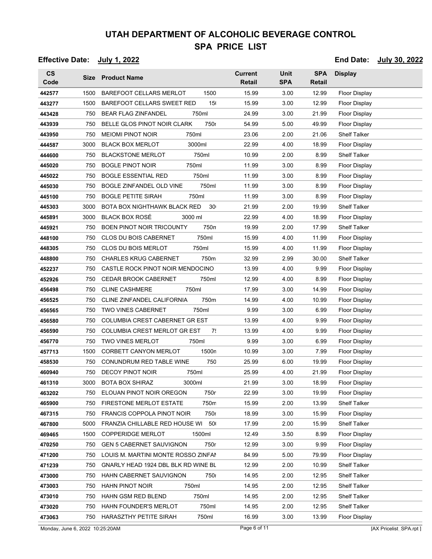**Effective Date: July 1, 2022 End Date: July 30, 2022**

| $\mathsf{cs}$<br>Code | Size | <b>Product Name</b>                                  | <b>Current</b><br><b>Retail</b> | <b>Unit</b><br><b>SPA</b> | <b>SPA</b><br><b>Retail</b> | <b>Display</b>       |
|-----------------------|------|------------------------------------------------------|---------------------------------|---------------------------|-----------------------------|----------------------|
| 442577                | 1500 | <b>BAREFOOT CELLARS MERLOT</b><br>1500               | 15.99                           | 3.00                      | 12.99                       | Floor Display        |
| 443277                | 1500 | <b>BAREFOOT CELLARS SWEET RED</b><br>15 <sub>1</sub> | 15.99                           | 3.00                      | 12.99                       | <b>Floor Display</b> |
| 443428                | 750  | <b>BEAR FLAG ZINFANDEL</b><br>750ml                  | 24.99                           | 3.00                      | 21.99                       | Floor Display        |
| 443939                | 750  | BELLE GLOS PINOT NOIR CLARK<br>750r                  | 54.99                           | 5.00                      | 49.99                       | <b>Floor Display</b> |
| 443950                | 750  | <b>MEIOMI PINOT NOIR</b><br>750ml                    | 23.06                           | 2.00                      | 21.06                       | <b>Shelf Talker</b>  |
| 444587                | 3000 | <b>BLACK BOX MERLOT</b><br>3000ml                    | 22.99                           | 4.00                      | 18.99                       | Floor Display        |
| 444600                | 750  | <b>BLACKSTONE MERLOT</b><br>750ml                    | 10.99                           | 2.00                      | 8.99                        | <b>Shelf Talker</b>  |
| 445020                | 750  | <b>BOGLE PINOT NOIR</b><br>750ml                     | 11.99                           | 3.00                      | 8.99                        | <b>Floor Display</b> |
| 445022                | 750  | 750ml<br><b>BOGLE ESSENTIAL RED</b>                  | 11.99                           | 3.00                      | 8.99                        | <b>Floor Display</b> |
| 445030                | 750  | BOGLE ZINFANDEL OLD VINE<br>750ml                    | 11.99                           | 3.00                      | 8.99                        | Floor Display        |
| 445100                | 750  | <b>BOGLE PETITE SIRAH</b><br>750ml                   | 11.99                           | 3.00                      | 8.99                        | <b>Floor Display</b> |
| 445303                | 3000 | BOTA BOX NIGHTHAWK BLACK RED<br>30                   | 21.99                           | 2.00                      | 19.99                       | <b>Shelf Talker</b>  |
| 445891                | 3000 | <b>BLACK BOX ROSÉ</b><br>3000 ml                     | 22.99                           | 4.00                      | 18.99                       | <b>Floor Display</b> |
| 445921                | 750  | 750n<br><b>BOEN PINOT NOIR TRICOUNTY</b>             | 19.99                           | 2.00                      | 17.99                       | <b>Shelf Talker</b>  |
| 448100                | 750  | <b>CLOS DU BOIS CABERNET</b><br>750ml                | 15.99                           | 4.00                      | 11.99                       | <b>Floor Display</b> |
| 448305                | 750  | <b>CLOS DU BOIS MERLOT</b><br>750ml                  | 15.99                           | 4.00                      | 11.99                       | Floor Display        |
| 448800                | 750  | 750m<br><b>CHARLES KRUG CABERNET</b>                 | 32.99                           | 2.99                      | 30.00                       | Shelf Talker         |
| 452237                | 750  | CASTLE ROCK PINOT NOIR MENDOCINO                     | 13.99                           | 4.00                      | 9.99                        | <b>Floor Display</b> |
| 452926                | 750  | <b>CEDAR BROOK CABERNET</b><br>750ml                 | 12.99                           | 4.00                      | 8.99                        | Floor Display        |
| 456498                | 750  | <b>CLINE CASHMERE</b><br>750ml                       | 17.99                           | 3.00                      | 14.99                       | <b>Floor Display</b> |
| 456525                | 750  | CLINE ZINFANDEL CALIFORNIA<br>750m                   | 14.99                           | 4.00                      | 10.99                       | Floor Display        |
| 456565                | 750  | 750ml<br><b>TWO VINES CABERNET</b>                   | 9.99                            | 3.00                      | 6.99                        | <b>Floor Display</b> |
| 456580                | 750  | COLUMBIA CREST CABERNET GR EST                       | 13.99                           | 4.00                      | 9.99                        | <b>Floor Display</b> |
| 456590                | 750  | COLUMBIA CREST MERLOT GR EST<br>75                   | 13.99                           | 4.00                      | 9.99                        | <b>Floor Display</b> |
| 456770                | 750  | <b>TWO VINES MERLOT</b><br>750ml                     | 9.99                            | 3.00                      | 6.99                        | <b>Floor Display</b> |
| 457713                | 1500 | CORBETT CANYON MERLOT<br>1500n                       | 10.99                           | 3.00                      | 7.99                        | Floor Display        |
| 458530                | 750  | 750<br>CONUNDRUM RED TABLE WINE                      | 25.99                           | 6.00                      | 19.99                       | Floor Display        |
| 460940                | 750  | DECOY PINOT NOIR<br>750ml                            | 25.99                           | 4.00                      | 21.99                       | Floor Display        |
| 461310                | 3000 | <b>BOTA BOX SHIRAZ</b><br>3000ml                     | 21.99                           | 3.00                      | 18.99                       | <b>Floor Display</b> |
| 463202                | 750  | 750r<br>ELOUAN PINOT NOIR OREGON                     | 22.99                           | 3.00                      | 19.99                       | Floor Display        |
| 465900                | 750  | <b>FIRESTONE MERLOT ESTATE</b><br>750m               | 15.99                           | 2.00                      | 13.99                       | <b>Shelf Talker</b>  |
| 467315                | 750  | <b>FRANCIS COPPOLA PINOT NOIR</b><br>750r            | 18.99                           | 3.00                      | 15.99                       | Floor Display        |
| 467800                | 5000 | FRANZIA CHILLABLE RED HOUSE WI 50                    | 17.99                           | 2.00                      | 15.99                       | <b>Shelf Talker</b>  |
| 469465                | 1500 | <b>COPPERIDGE MERLOT</b><br>1500ml                   | 12.49                           | 3.50                      | 8.99                        | Floor Display        |
| 470250                | 750  | <b>GEN 5 CABERNET SAUVIGNON</b><br>750r              | 12.99                           | 3.00                      | 9.99                        | Floor Display        |
| 471200                | 750  | LOUIS M. MARTINI MONTE ROSSO ZINFAN                  | 84.99                           | 5.00                      | 79.99                       | <b>Floor Display</b> |
| 471239                | 750  | GNARLY HEAD 1924 DBL BLK RD WINE BL                  | 12.99                           | 2.00                      | 10.99                       | <b>Shelf Talker</b>  |
| 473000                | 750  | HAHN CABERNET SAUVIGNON<br>750                       | 14.95                           | 2.00                      | 12.95                       | <b>Shelf Talker</b>  |
| 473003                | 750  | <b>HAHN PINOT NOIR</b><br>750ml                      | 14.95                           | 2.00                      | 12.95                       | <b>Shelf Talker</b>  |
| 473010                | 750  | HAHN GSM RED BLEND<br>750ml                          | 14.95                           | 2.00                      | 12.95                       | <b>Shelf Talker</b>  |
| 473020                | 750  | HAHN FOUNDER'S MERLOT<br>750ml                       | 14.95                           | 2.00                      | 12.95                       | <b>Shelf Talker</b>  |
| 473063                | 750  | 750ml<br>HARASZTHY PETITE SIRAH                      | 16.99                           | 3.00                      | 13.99                       | <b>Floor Display</b> |

Monday, June 6, 2022 10:25:20AM Page 6 of 11 [AX Pricelist\_SPA.rpt ]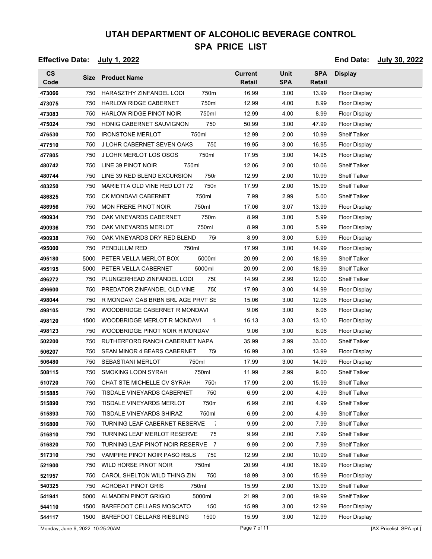#### **Effective Date: July 1, 2022 End Date: July 30, 2022**

| $\mathsf{cs}$<br>Code | Size | <b>Product Name</b>                           | <b>Current</b><br>Retail | <b>Unit</b><br><b>SPA</b> | <b>SPA</b><br><b>Retail</b> | <b>Display</b>       |
|-----------------------|------|-----------------------------------------------|--------------------------|---------------------------|-----------------------------|----------------------|
| 473066                | 750  | HARASZTHY ZINFANDEL LODI<br>750m              | 16.99                    | 3.00                      | 13.99                       | Floor Display        |
| 473075                | 750  | <b>HARLOW RIDGE CABERNET</b><br>750ml         | 12.99                    | 4.00                      | 8.99                        | <b>Floor Display</b> |
| 473083                | 750  | <b>HARLOW RIDGE PINOT NOIR</b><br>750ml       | 12.99                    | 4.00                      | 8.99                        | <b>Floor Display</b> |
| 475024                | 750  | 750<br>HONIG CABERNET SAUVIGNON               | 50.99                    | 3.00                      | 47.99                       | <b>Floor Display</b> |
| 476530                | 750  | <b>IRONSTONE MERLOT</b><br>750ml              | 12.99                    | 2.00                      | 10.99                       | <b>Shelf Talker</b>  |
| 477510                | 750  | <b>750</b><br>J LOHR CABERNET SEVEN OAKS      | 19.95                    | 3.00                      | 16.95                       | <b>Floor Display</b> |
| 477805                | 750  | 750ml<br>J LOHR MERLOT LOS OSOS               | 17.95                    | 3.00                      | 14.95                       | Floor Display        |
| 480742                | 750  | LINE 39 PINOT NOIR<br>750ml                   | 12.06                    | 2.00                      | 10.06                       | <b>Shelf Talker</b>  |
| 480744                | 750  | 750r<br>LINE 39 RED BLEND EXCURSION           | 12.99                    | 2.00                      | 10.99                       | <b>Shelf Talker</b>  |
| 483250                | 750  | MARIETTA OLD VINE RED LOT 72<br>750n          | 17.99                    | 2.00                      | 15.99                       | <b>Shelf Talker</b>  |
| 486825                | 750  | <b>CK MONDAVI CABERNET</b><br>750ml           | 7.99                     | 2.99                      | 5.00                        | <b>Shelf Talker</b>  |
| 486956                | 750  | <b>MON FRERE PINOT NOIR</b><br>750ml          | 17.06                    | 3.07                      | 13.99                       | Floor Display        |
| 490934                | 750  | 750m<br>OAK VINEYARDS CABERNET                | 8.99                     | 3.00                      | 5.99                        | <b>Floor Display</b> |
| 490936                | 750  | OAK VINEYARDS MERLOT<br>750ml                 | 8.99                     | 3.00                      | 5.99                        | <b>Floor Display</b> |
| 490938                | 750  | OAK VINEYARDS DRY RED BLEND<br>75             | 8.99                     | 3.00                      | 5.99                        | <b>Floor Display</b> |
| 495000                | 750  | PENDULUM RED<br>750ml                         | 17.99                    | 3.00                      | 14.99                       | <b>Floor Display</b> |
| 495180                | 5000 | 5000m<br>PETER VELLA MERLOT BOX               | 20.99                    | 2.00                      | 18.99                       | Shelf Talker         |
| 495195                | 5000 | PETER VELLA CABERNET<br>5000ml                | 20.99                    | 2.00                      | 18.99                       | <b>Shelf Talker</b>  |
| 496272                | 750  | PLUNGERHEAD ZINFANDEL LODI<br>750             | 14.99                    | 2.99                      | 12.00                       | <b>Shelf Talker</b>  |
| 496600                | 750  | PREDATOR ZINFANDEL OLD VINE<br>750            | 17.99                    | 3.00                      | 14.99                       | <b>Floor Display</b> |
| 498044                | 750  | R MONDAVI CAB BRBN BRL AGE PRVT SE            | 15.06                    | 3.00                      | 12.06                       | Floor Display        |
| 498105                | 750  | WOODBRIDGE CABERNET R MONDAVI                 | 9.06                     | 3.00                      | 6.06                        | <b>Floor Display</b> |
| 498120                | 1500 | WOODBRIDGE MERLOT R MONDAVI<br>1:             | 16.13                    | 3.03                      | 13.10                       | <b>Floor Display</b> |
| 498123                | 750  | WOODBRIDGE PINOT NOIR R MONDAV                | 9.06                     | 3.00                      | 6.06                        | <b>Floor Display</b> |
| 502200                | 750  | RUTHERFORD RANCH CABERNET NAPA                | 35.99                    | 2.99                      | 33.00                       | <b>Shelf Talker</b>  |
| 506207                | 750  | SEAN MINOR 4 BEARS CABERNET<br>751            | 16.99                    | 3.00                      | 13.99                       | Floor Display        |
| 506480                | 750  | 750ml<br><b>SEBASTIANI MERLOT</b>             | 17.99                    | 3.00                      | 14.99                       | <b>Floor Display</b> |
| 508115                | 750  | <b>SMOKING LOON SYRAH</b><br>750ml            | 11.99                    | 2.99                      | 9.00                        | <b>Shelf Talker</b>  |
| 510720                | 750  | CHAT STE MICHELLE CV SYRAH<br>750r            | 17.99                    | 2.00                      | 15.99                       | <b>Shelf Talker</b>  |
| 515885                | 750  | TISDALE VINEYARDS CABERNET<br>750             | 6.99                     | 2.00                      | 4.99                        | <b>Shelf Talker</b>  |
| 515890                | 750  | <b>TISDALE VINEYARDS MERLOT</b><br>750m       | 6.99                     | 2.00                      | 4.99                        | <b>Shelf Talker</b>  |
| 515893                | 750  | <b>TISDALE VINEYARDS SHIRAZ</b><br>750ml      | 6.99                     | 2.00                      | 4.99                        | <b>Shelf Talker</b>  |
| 516800                | 750  | TURNING LEAF CABERNET RESERVE<br>$\mathbf{L}$ | 9.99                     | 2.00                      | 7.99                        | <b>Shelf Talker</b>  |
| 516810                | 750  | 75<br>TURNING LEAF MERLOT RESERVE             | 9.99                     | 2.00                      | 7.99                        | <b>Shelf Talker</b>  |
| 516820                | 750  | TURNING LEAF PINOT NOIR RESERVE 7             | 9.99                     | 2.00                      | 7.99                        | <b>Shelf Talker</b>  |
| 517310                | 750  | VAMPIRE PINOT NOIR PASO RBLS<br>75C           | 12.99                    | 2.00                      | 10.99                       | <b>Shelf Talker</b>  |
| 521900                | 750  | WILD HORSE PINOT NOIR<br>750ml                | 20.99                    | 4.00                      | 16.99                       | <b>Floor Display</b> |
| 521957                | 750  | 750<br>CAROL SHELTON WILD THING ZIN           | 18.99                    | 3.00                      | 15.99                       | <b>Floor Display</b> |
| 540325                | 750  | <b>ACROBAT PINOT GRIS</b><br>750ml            | 15.99                    | 2.00                      | 13.99                       | <b>Shelf Talker</b>  |
| 541941                | 5000 | ALMADEN PINOT GRIGIO<br>5000ml                | 21.99                    | 2.00                      | 19.99                       | <b>Shelf Talker</b>  |
| 544110                | 1500 | BAREFOOT CELLARS MOSCATO<br>150               | 15.99                    | 3.00                      | 12.99                       | Floor Display        |
| 544117                | 1500 | 1500<br>BAREFOOT CELLARS RIESLING             | 15.99                    | 3.00                      | 12.99                       | <b>Floor Display</b> |

Monday, June 6, 2022 10:25:20AM Page 7 of 11 [AX Pricelist\_SPA.rpt ]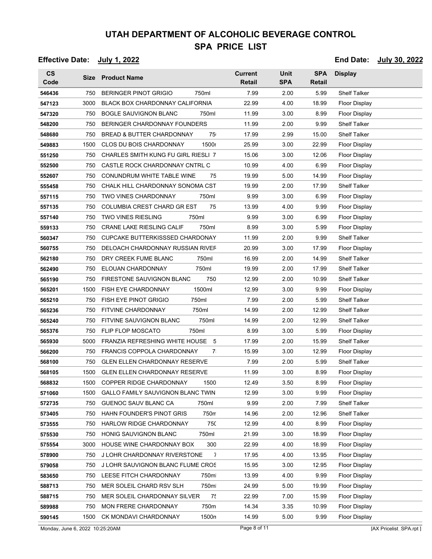**Effective Date: July 1, 2022 End Date: July 30, 2022**

**CS Code Size Product Name Current Retail SPA Retail** Unit **SPA** Display **SPA** 750 BERINGER PINOT GRIGIO 750ml 7.99 2.00 5.99 Shelf Talker 3000 BLACK BOX CHARDONNAY CALIFORNIA 32.99 4.00 18.99 Floor Display 750 BOGLE SAUVIGNON BLANC 750ml 11.99 3.00 8.99 Floor Display 750 BERINGER CHARDONNAY FOUNDERS 11.99 2.00 9.99 Shelf Talker 750 BREAD & BUTTER CHARDONNAY 75 17.99 2.99 15.00 Shelf Talker 1500 CLOS DU BOIS CHARDONNAY 1500ml 25.99 3.00 22.99 Floor Display 750 CHARLES SMITH KUNG FU GIRL RIESLI 7 15.06 3.00 12.06 Floor Display 750 CASTLE ROCK CHARDONNAY CNTRL C  $10.99$  4.00 6.99 Floor Display 750 CONUNDRUM WHITE TABLE WINE 75 19.99 5.00 14.99 Floor Display 750 CHALK HILL CHARDONNAY SONOMA CST 19.99 2.00 17.99 Shelf Talker 750 TWO VINES CHARDONNAY 750ml 9.99 3.00 6.99 Floor Display 750 COLUMBIA CREST CHARD GR EST 75 13.99 4.00 9.99 Floor Display 750 TWO VINES RIESLING 750ml 9.99 3.00 6.99 Floor Display 750 CRANE LAKE RIESLING CALIF 750ml 8.99 3.00 5.99 Floor Display 750 CUPCAKE BUTTERKISSSED CHARDONAY 11.99 2.00 9.99 Shelf Talker **560755 750 DELOACH CHARDONNAY RUSSIAN RIVER 30.99 3.00 17.99 Floor Display**  750 DRY CREEK FUME BLANC 750ml 16.99 2.00 14.99 Shelf Talker 750 ELOUAN CHARDONNAY 750ml 19.99 2.00 17.99 Shelf Talker 750 FIRESTONE SAUVIGNON BLANC 750ml 12.99 2.00 10.99 Shelf Talker 1500 FISH EYE CHARDONNAY 1500ml 12.99 3.00 9.99 Floor Display 750 FISH EYE PINOT GRIGIO 750ml 7.99 2.00 5.99 Shelf Talker 750 FITVINE CHARDONNAY 750ml 14.99 2.00 12.99 Shelf Talker 750 FITVINE SAUVIGNON BLANC 750ml 14.99 2.00 12.99 Shelf Talker 750 FLIP FLOP MOSCATO 750ml 8.99 3.00 5.99 Floor Display 5000 FRANZIA REFRESHING WHITE HOUSE 5 17.99 2.00 15.99 Shelf Talker 750 FRANCIS COPPOLA CHARDONNAY 7 15.99 3.00 12.99 Floor Display 750 GLEN ELLEN CHARDONNAY RESERVE 7.99 2.00 5.99 Shelf Talker 1500 GLEN ELLEN CHARDONNAY RESERVE 11.99 3.00 8.99 Floor Display 1500 COPPER RIDGE CHARDONNAY 1500 12.49 3.50 8.99 Floor Display 1500 GALLO FAMILY SAUVIGNON BLANC TWIN 12.99 3.00 9.99 Floor Display 750 GUENOC SAUV BLANC CA 750ml 9.99 2.00 7.99 Shelf Talker 750 HAHN FOUNDER'S PINOT GRIS 750ml 14.96 2.00 12.96 Shelf Talker 750 HARLOW RIDGE CHARDONNAY 750 12.99 4.00 8.99 Floor Display 750 HONIG SAUVIGNON BLANC 750ml 21.99 3.00 18.99 Floor Display 3000 HOUSE WINE CHARDONNAY BOX 300 22.99 4.00 18.99 Floor Display 750 J LOHR CHARDONNAY RIVERSTONE 7 17.95 4.00 13.95 Floor Display 750 J LOHR SAUVIGNON BLANC FLUME CROS 15.95 3.00 12.95 Floor Display 750 LEESE FITCH CHARDONNAY 750ml 13.99 4.00 9.99 Floor Display 750 MER SOLEIL CHARD RSV SLH 750ml 24.99 5.00 19.99 Floor Display 750 MER SOLEIL CHARDONNAY SILVER 7<sup>2</sup> 22.99 7.00 15.99 Floor Display 750 MON FRERE CHARDONNAY 750m 14.34 3.35 10.99 Floor Display 1500 CK MONDAVI CHARDONNAY 1500ml 14.99 5.00 9.99 Floor Display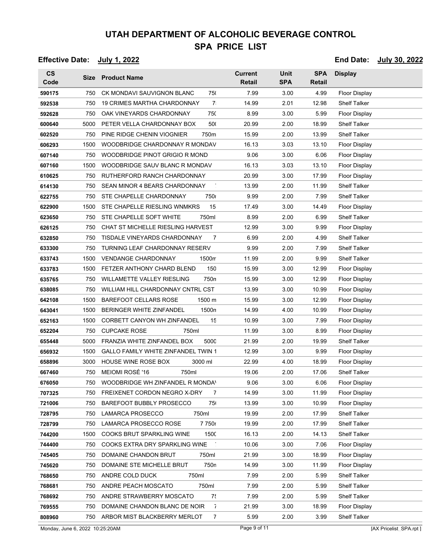**Effective Date: July 1, 2022 End Date: July 30, 2022**

**CS Code Size Product Name Current Retail SPA Retail** Unit **SPA** Display **SPA** 750 CK MONDAVI SAUVIGNON BLANC 750 7.99 3.00 4.99 Floor Display 750 19 CRIMES MARTHA CHARDONNAY 750 14.99 2.01 12.98 Shelf Talker 750 OAK VINEYARDS CHARDONNAY 750 8.99 3.00 5.99 Floor Display 5000 PETER VELLA CHARDONNAY BOX 500 20.99 2.00 18.99 Shelf Talker 750 PINE RIDGE CHENIN VIOGNIER 750ml 15.99 2.00 13.99 Shelf Talker 1500 WOODBRIDGE CHARDONNAY R MONDAV 16.13 3.03 13.10 Floor Display 750 WOODBRIDGE PINOT GRIGIO R MOND 9.06 3.00 6.06 Floor Display 1500 WOODBRIDGE SAUV BLANC R MONDAV 16.13 3.03 13.10 Floor Display 750 RUTHERFORD RANCH CHARDONNAY 20.99 3.00 17.99 Floor Display 750 SEAN MINOR 4 BEARS CHARDONNAY 7 13.99 2.00 11.99 Shelf Talker 750 STE CHAPELLE CHARDONNAY 750ml 9.99 2.00 7.99 Shelf Talker 1500 STE CHAPELLE RIESLING WNMKRS 15 17.49 3.00 14.49 Floor Display 750 STE CHAPELLE SOFT WHITE 750ml 8.99 2.00 6.99 Shelf Talker 750 CHAT ST MICHELLE RIESLING HARVEST 12.99 3.00 9.99 Floor Display 750 TISDALE VINEYARDS CHARDONNAY 7 6.99 2.00 4.99 Shelf Talker 750 TURNING LEAF CHARDONNAY RESERV 9.99 2.00 7.99 Shelf Talker 1500 VENDANGE CHARDONNAY 1500n 11.99 2.00 9.99 Shelf Talker 1500 FETZER ANTHONY CHARD BLEND 1500 ml 15.99 3.00 12.99 Floor Display 750 WILLAMETTE VALLEY RIESLING 750ml 15.99 3.00 12.99 Floor Display 750 WILLIAM HILL CHARDONNAY CNTRL CST 13.99 3.00 10.99 Floor Display 1500 BAREFOOT CELLARS ROSE 1500 m 15.99 3.00 12.99 Floor Display 1500 BERINGER WHITE ZINFANDEL 1500n 14.99 4.00 10.99 Floor Display 1500 CORBETT CANYON WH ZINFANDEL 15 10.99 3.00 7.99 Floor Display 750 CUPCAKE ROSE 750ml 11.99 3.00 8.99 Floor Display 5000 FRANZIA WHITE ZINFANDEL BOX 5000 21.99 2.00 19.99 Shelf Talker 1500 GALLO FAMILY WHITE ZINFANDEL TWIN 1 12.99 3.00 9.99 Floor Display 3000 HOUSE WINE ROSE BOX 3000 ml 22.99 4.00 18.99 Floor Display 750 MEIOMI ROSÉ '16 750ml 19.06 2.00 17.06 Shelf Talker 750 WOODBRIDGE WH ZINFANDEL R MONDA<sup>N</sup> 9.06 3.00 6.06 Floor Display **707325 750 FREIXENET CORDON NEGRO X-DRY 7 14.99 3.00 11.99 Floor Display**  750 BAREFOOT BUBBLY PROSECCO 75 13.99 3.00 10.99 Floor Display 750 LAMARCA PROSECCO 750ml 19.99 2.00 17.99 Shelf Talker 750 LAMARCA PROSECCO ROSE 7 750ml 19.99 2.00 17.99 Shelf Talker 1500 COOKS BRUT SPARKLING WINE 1500ml 16.13 2.00 14.13 Shelf Talker 750 COOKS EXTRA DRY SPARKLING WINE  $\qquad \qquad$  10.06 3.00 7.06 Floor Display 750 DOMAINE CHANDON BRUT 750ml 21.99 3.00 18.99 Floor Display 750 DOMAINE STE MICHELLE BRUT 750ml 14.99 3.00 11.99 Floor Display 750 ANDRE COLD DUCK 750ml 7.99 2.00 5.99 Shelf Talker 750 ANDRE PEACH MOSCATO 750ml 7.99 2.00 5.99 Shelf Talker 750 ANDRE STRAWBERRY MOSCATO 7: 7.99 2.00 5.99 Shelf Talker 750 DOMAINE CHANDON BLANC DE NOIR  $\overline{7}$  21.99 3.00 18.99 Floor Display 750 ARBOR MIST BLACKBERRY MERLOT 7 5.99 2.00 3.99 Shelf Talker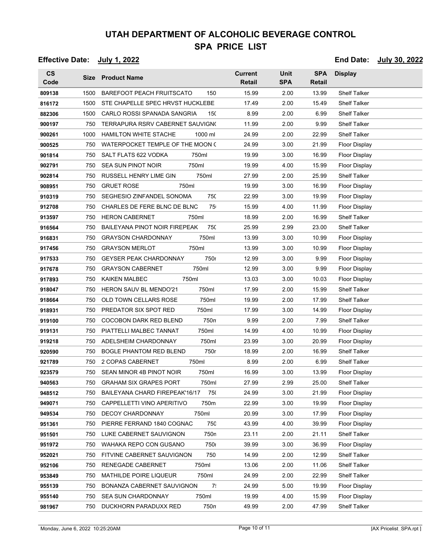| <b>Effective Date:</b> |      | <u>July 1, 2022</u>                     |                                 |                           |                             |                      | End Date: July 30, 2022 |
|------------------------|------|-----------------------------------------|---------------------------------|---------------------------|-----------------------------|----------------------|-------------------------|
| $\mathsf{cs}$<br>Code  | Size | <b>Product Name</b>                     | <b>Current</b><br><b>Retail</b> | <b>Unit</b><br><b>SPA</b> | <b>SPA</b><br><b>Retail</b> | <b>Display</b>       |                         |
| 809138                 | 1500 | <b>BAREFOOT PEACH FRUITSCATO</b><br>150 | 15.99                           | 2.00                      | 13.99                       | <b>Shelf Talker</b>  |                         |
| 816172                 | 1500 | STE CHAPELLE SPEC HRVST HUCKLEBE        | 17.49                           | 2.00                      | 15.49                       | <b>Shelf Talker</b>  |                         |
| 882306                 | 1500 | CARLO ROSSI SPANADA SANGRIA<br>150      | 8.99                            | 2.00                      | 6.99                        | <b>Shelf Talker</b>  |                         |
| 900197                 | 750  | TERRAPURA RSRV CABERNET SAUVIGN(        | 11.99                           | 2.00                      | 9.99                        | <b>Shelf Talker</b>  |                         |
| 900261                 | 1000 | <b>HAMILTON WHITE STACHE</b><br>1000 ml | 24.99                           | 2.00                      | 22.99                       | <b>Shelf Talker</b>  |                         |
| 900525                 | 750  | WATERPOCKET TEMPLE OF THE MOON (        | 24.99                           | 3.00                      | 21.99                       | <b>Floor Display</b> |                         |
| 901814                 | 750  | SALT FLATS 622 VODKA<br>750ml           | 19.99                           | 3.00                      | 16.99                       | <b>Floor Display</b> |                         |
| 902791                 | 750  | <b>SEA SUN PINOT NOIR</b><br>750ml      | 19.99                           | 4.00                      | 15.99                       | <b>Floor Display</b> |                         |
| 902814                 | 750  | RUSSELL HENRY LIME GIN<br>750ml         | 27.99                           | 2.00                      | 25.99                       | <b>Shelf Talker</b>  |                         |
| 908951                 | 750  | <b>GRUET ROSE</b><br>750ml              | 19.99                           | 3.00                      | 16.99                       | Floor Display        |                         |
| 910319                 | 750  | SEGHESIO ZINFANDEL SONOMA<br>750        | 22.99                           | 3.00                      | 19.99                       | <b>Floor Display</b> |                         |
| 912708                 | 750  | CHARLES DE FERE BLNC DE BLNC<br>75      | 15.99                           | 4.00                      | 11.99                       | Floor Display        |                         |
| 913597                 | 750  | <b>HERON CABERNET</b><br>750ml          | 18.99                           | 2.00                      | 16.99                       | <b>Shelf Talker</b>  |                         |
| 916564                 | 750  | BAILEYANA PINOT NOIR FIREPEAK<br>750    | 25.99                           | 2.99                      | 23.00                       | <b>Shelf Talker</b>  |                         |
| 916831                 | 750  | 750ml<br><b>GRAYSON CHARDONNAY</b>      | 13.99                           | 3.00                      | 10.99                       | Floor Display        |                         |
| 917456                 | 750  | 750ml<br><b>GRAYSON MERLOT</b>          | 13.99                           | 3.00                      | 10.99                       | <b>Floor Display</b> |                         |
| 917533                 | 750  | 750r<br><b>GEYSER PEAK CHARDONNAY</b>   | 12.99                           | 3.00                      | 9.99                        | Floor Display        |                         |
| 917678                 | 750  | <b>GRAYSON CABERNET</b><br>750ml        | 12.99                           | 3.00                      | 9.99                        | <b>Floor Display</b> |                         |
| 917893                 | 750  | <b>KAIKEN MALBEC</b><br>750ml           | 13.03                           | 3.00                      | 10.03                       | Floor Display        |                         |
| 918047                 | 750  | 750ml<br><b>HERON SAUV BL MENDO'21</b>  | 17.99                           | 2.00                      | 15.99                       | <b>Shelf Talker</b>  |                         |
| 918664                 | 750  | OLD TOWN CELLARS ROSE<br>750ml          | 19.99                           | 2.00                      | 17.99                       | <b>Shelf Talker</b>  |                         |
| 918931                 | 750  | PREDATOR SIX SPOT RED<br>750ml          | 17.99                           | 3.00                      | 14.99                       | <b>Floor Display</b> |                         |
| 919100                 | 750  | 750n<br>COCOBON DARK RED BLEND          | 9.99                            | 2.00                      | 7.99                        | <b>Shelf Talker</b>  |                         |
| 919131                 | 750  | 750ml<br>PIATTELLI MALBEC TANNAT        | 14.99                           | 4.00                      | 10.99                       | Floor Display        |                         |
| 919218                 | 750  | 750ml<br>ADELSHEIM CHARDONNAY           | 23.99                           | 3.00                      | 20.99                       | <b>Floor Display</b> |                         |
| 920590                 | 750  | <b>BOGLE PHANTOM RED BLEND</b><br>750r  | 18.99                           | 2.00                      | 16.99                       | <b>Shelf Talker</b>  |                         |
| 921789                 | 750  | 2 COPAS CABERNET<br>750ml               | 8.99                            | 2.00                      | 6.99                        | <b>Shelf Talker</b>  |                         |
| 923579                 | 750  | SEAN MINOR 4B PINOT NOIR<br>750ml       | 16.99                           | 3.00                      | 13.99                       | <b>Floor Display</b> |                         |
| 940563                 | 750  | <b>GRAHAM SIX GRAPES PORT</b><br>750ml  | 27.99                           | 2.99                      | 25.00                       | Shelf Talker         |                         |
| 948512                 | 750  | 750<br>BAILEYANA CHARD FIREPEAK'16/17   | 24.99                           | 3.00                      | 21.99                       | Floor Display        |                         |
| 949071                 | 750  | 750m<br>CAPPELLETTI VINO APERITIVO      | 22.99                           | 3.00                      | 19.99                       | Floor Display        |                         |
| 949534                 | 750  | 750ml<br><b>DECOY CHARDONNAY</b>        | 20.99                           | 3.00                      | 17.99                       | Floor Display        |                         |
| 951361                 | 750  | 750<br>PIERRE FERRAND 1840 COGNAC       | 43.99                           | 4.00                      | 39.99                       | Floor Display        |                         |
| 951501                 | 750  | LUKE CABERNET SAUVIGNON<br>750n         | 23.11                           | 2.00                      | 21.11                       | <b>Shelf Talker</b>  |                         |
| 951972                 | 750  | 750<br>WAHAKA REPO CON GUSANO           | 39.99                           | 3.00                      | 36.99                       | Floor Display        |                         |
| 952021                 | 750  | 750<br>FITVINE CABERNET SAUVIGNON       | 14.99                           | 2.00                      | 12.99                       | <b>Shelf Talker</b>  |                         |
| 952106                 | 750  | 750ml<br>RENEGADE CABERNET              | 13.06                           | 2.00                      | 11.06                       | <b>Shelf Talker</b>  |                         |
| 953849                 | 750  | <b>MATHILDE POIRE LIQUEUR</b><br>750ml  | 24.99                           | 2.00                      | 22.99                       | <b>Shelf Talker</b>  |                         |
| 955139                 | 750  | 7.<br>BONANZA CABERNET SAUVIGNON        | 24.99                           | 5.00                      | 19.99                       | Floor Display        |                         |
| 955140                 | 750  | 750ml<br><b>SEA SUN CHARDONNAY</b>      | 19.99                           | 4.00                      | 15.99                       | Floor Display        |                         |
| 981967                 | 750  | 750n<br>DUCKHORN PARADUXX RED           | 49.99                           | 2.00                      | 47.99                       | <b>Shelf Talker</b>  |                         |